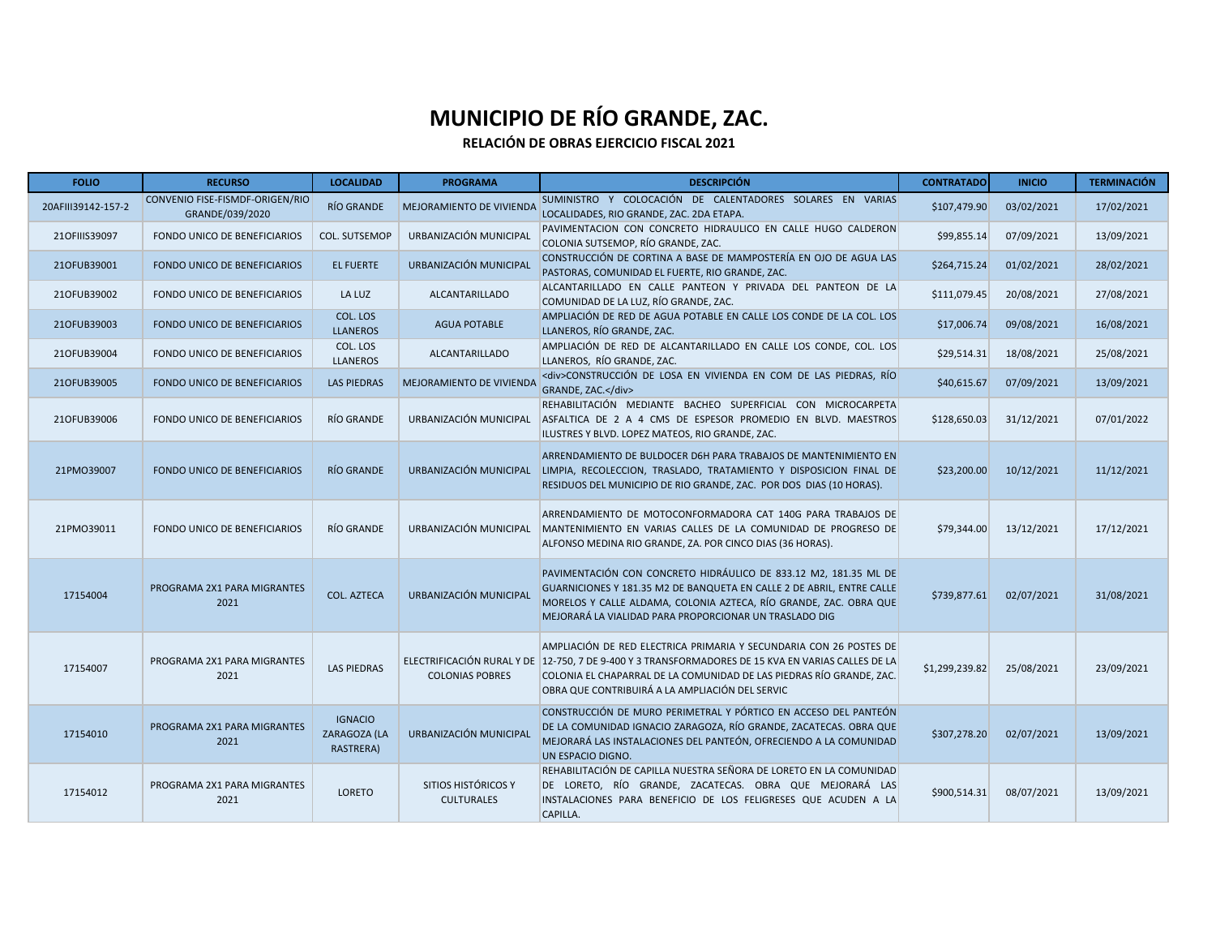| <b>FOLIO</b>       | <b>RECURSO</b>                                     | <b>LOCALIDAD</b>                            | <b>PROGRAMA</b>                          | <b>DESCRIPCIÓN</b>                                                                                                                                                                                                                                                                                  | <b>CONTRATADO</b> | <b>INICIO</b> | <b>TERMINACIÓN</b> |
|--------------------|----------------------------------------------------|---------------------------------------------|------------------------------------------|-----------------------------------------------------------------------------------------------------------------------------------------------------------------------------------------------------------------------------------------------------------------------------------------------------|-------------------|---------------|--------------------|
| 20AFIII39142-157-2 | CONVENIO FISE-FISMDF-ORIGEN/RIO<br>GRANDE/039/2020 | RÍO GRANDE                                  | MEJORAMIENTO DE VIVIENDA                 | SUMINISTRO Y COLOCACIÓN DE CALENTADORES SOLARES EN VARIAS<br>LOCALIDADES, RIO GRANDE, ZAC. 2DA ETAPA.                                                                                                                                                                                               | \$107,479.90      | 03/02/2021    | 17/02/2021         |
| 210FIIIS39097      | FONDO UNICO DE BENEFICIARIOS                       | COL. SUTSEMOP                               | URBANIZACIÓN MUNICIPAL                   | PAVIMENTACION CON CONCRETO HIDRAULICO EN CALLE HUGO CALDERON<br>COLONIA SUTSEMOP, RÍO GRANDE, ZAC.                                                                                                                                                                                                  | \$99,855.14       | 07/09/2021    | 13/09/2021         |
| 210FUB39001        | FONDO UNICO DE BENEFICIARIOS                       | <b>EL FUERTE</b>                            | URBANIZACIÓN MUNICIPAL                   | CONSTRUCCIÓN DE CORTINA A BASE DE MAMPOSTERÍA EN OJO DE AGUA LAS<br>PASTORAS, COMUNIDAD EL FUERTE, RIO GRANDE, ZAC.                                                                                                                                                                                 | \$264,715.24      | 01/02/2021    | 28/02/2021         |
| 210FUB39002        | FONDO UNICO DE BENEFICIARIOS                       | LA LUZ                                      | <b>ALCANTARILLADO</b>                    | ALCANTARILLADO EN CALLE PANTEON Y PRIVADA DEL PANTEON DE LA<br>COMUNIDAD DE LA LUZ, RÍO GRANDE, ZAC.                                                                                                                                                                                                | \$111,079.45      | 20/08/2021    | 27/08/2021         |
| 210FUB39003        | FONDO UNICO DE BENEFICIARIOS                       | COL. LOS<br><b>LLANEROS</b>                 | <b>AGUA POTABLE</b>                      | AMPLIACIÓN DE RED DE AGUA POTABLE EN CALLE LOS CONDE DE LA COL. LOS<br>LLANEROS, RÍO GRANDE, ZAC.                                                                                                                                                                                                   | \$17,006.74       | 09/08/2021    | 16/08/2021         |
| 210FUB39004        | FONDO UNICO DE BENEFICIARIOS                       | COL. LOS<br><b>LLANEROS</b>                 | <b>ALCANTARILLADO</b>                    | AMPLIACIÓN DE RED DE ALCANTARILLADO EN CALLE LOS CONDE, COL. LOS<br>LLANEROS, RÍO GRANDE, ZAC.                                                                                                                                                                                                      | \$29,514.31       | 18/08/2021    | 25/08/2021         |
| 210FUB39005        | FONDO UNICO DE BENEFICIARIOS                       | <b>LAS PIEDRAS</b>                          | MEJORAMIENTO DE VIVIENDA                 | <div>CONSTRUCCIÓN DE LOSA EN VIVIENDA EN COM DE LAS PIEDRAS, RÍO<br/>GRANDE, ZAC.</div>                                                                                                                                                                                                             | \$40,615.67       | 07/09/2021    | 13/09/2021         |
| 210FUB39006        | <b>FONDO UNICO DE BENEFICIARIOS</b>                | RÍO GRANDE                                  | URBANIZACIÓN MUNICIPAL                   | REHABILITACIÓN MEDIANTE BACHEO SUPERFICIAL CON MICROCARPETA<br>ASFALTICA DE 2 A 4 CMS DE ESPESOR PROMEDIO EN BLVD. MAESTROS<br>ILUSTRES Y BLVD. LOPEZ MATEOS, RIO GRANDE, ZAC.                                                                                                                      | \$128,650.03      | 31/12/2021    | 07/01/2022         |
| 21PM039007         | FONDO UNICO DE BENEFICIARIOS                       | RÍO GRANDE                                  | URBANIZACIÓN MUNICIPAL                   | ARRENDAMIENTO DE BULDOCER D6H PARA TRABAJOS DE MANTENIMIENTO EN<br>LIMPIA, RECOLECCION, TRASLADO, TRATAMIENTO Y DISPOSICION FINAL DE<br>RESIDUOS DEL MUNICIPIO DE RIO GRANDE, ZAC. POR DOS DIAS (10 HORAS).                                                                                         | \$23,200.00       | 10/12/2021    | 11/12/2021         |
| 21PM039011         | FONDO UNICO DE BENEFICIARIOS                       | RÍO GRANDE                                  | URBANIZACIÓN MUNICIPAL                   | ARRENDAMIENTO DE MOTOCONFORMADORA CAT 140G PARA TRABAJOS DE<br>MANTENIMIENTO EN VARIAS CALLES DE LA COMUNIDAD DE PROGRESO DE<br>ALFONSO MEDINA RIO GRANDE, ZA. POR CINCO DIAS (36 HORAS).                                                                                                           | \$79,344.00       | 13/12/2021    | 17/12/2021         |
| 17154004           | PROGRAMA 2X1 PARA MIGRANTES<br>2021                | <b>COL. AZTECA</b>                          | URBANIZACIÓN MUNICIPAL                   | PAVIMENTACIÓN CON CONCRETO HIDRÁULICO DE 833.12 M2, 181.35 ML DE<br>GUARNICIONES Y 181.35 M2 DE BANQUETA EN CALLE 2 DE ABRIL, ENTRE CALLE<br>MORELOS Y CALLE ALDAMA, COLONIA AZTECA, RÍO GRANDE, ZAC. OBRA QUE<br>MEJORARÁ LA VIALIDAD PARA PROPORCIONAR UN TRASLADO DIG                            | \$739,877.61      | 02/07/2021    | 31/08/2021         |
| 17154007           | PROGRAMA 2X1 PARA MIGRANTES<br>2021                | <b>LAS PIEDRAS</b>                          | <b>COLONIAS POBRES</b>                   | AMPLIACIÓN DE RED ELECTRICA PRIMARIA Y SECUNDARIA CON 26 POSTES DE<br>ELECTRIFICACIÓN RURAL Y DE 12-750, 7 DE 9-400 Y 3 TRANSFORMADORES DE 15 KVA EN VARIAS CALLES DE LA<br>COLONIA EL CHAPARRAL DE LA COMUNIDAD DE LAS PIEDRAS RÍO GRANDE, ZAC.<br>OBRA QUE CONTRIBUIRÁ A LA AMPLIACIÓN DEL SERVIC | \$1,299,239.82    | 25/08/2021    | 23/09/2021         |
| 17154010           | PROGRAMA 2X1 PARA MIGRANTES<br>2021                | <b>IGNACIO</b><br>ZARAGOZA (LA<br>RASTRERA) | URBANIZACIÓN MUNICIPAL                   | CONSTRUCCIÓN DE MURO PERIMETRAL Y PÓRTICO EN ACCESO DEL PANTEÓN<br>DE LA COMUNIDAD IGNACIO ZARAGOZA, RÍO GRANDE, ZACATECAS. OBRA QUE<br>MEJORARÁ LAS INSTALACIONES DEL PANTEÓN, OFRECIENDO A LA COMUNIDAD<br>UN ESPACIO DIGNO.                                                                      | \$307,278.20      | 02/07/2021    | 13/09/2021         |
| 17154012           | PROGRAMA 2X1 PARA MIGRANTES<br>2021                | LORETO                                      | SITIOS HISTÓRICOS Y<br><b>CULTURALES</b> | REHABILITACIÓN DE CAPILLA NUESTRA SEÑORA DE LORETO EN LA COMUNIDAD<br>DE LORETO, RÍO GRANDE, ZACATECAS. OBRA QUE MEJORARÁ LAS<br>INSTALACIONES PARA BENEFICIO DE LOS FELIGRESES QUE ACUDEN A LA<br>CAPILLA.                                                                                         | \$900,514.31      | 08/07/2021    | 13/09/2021         |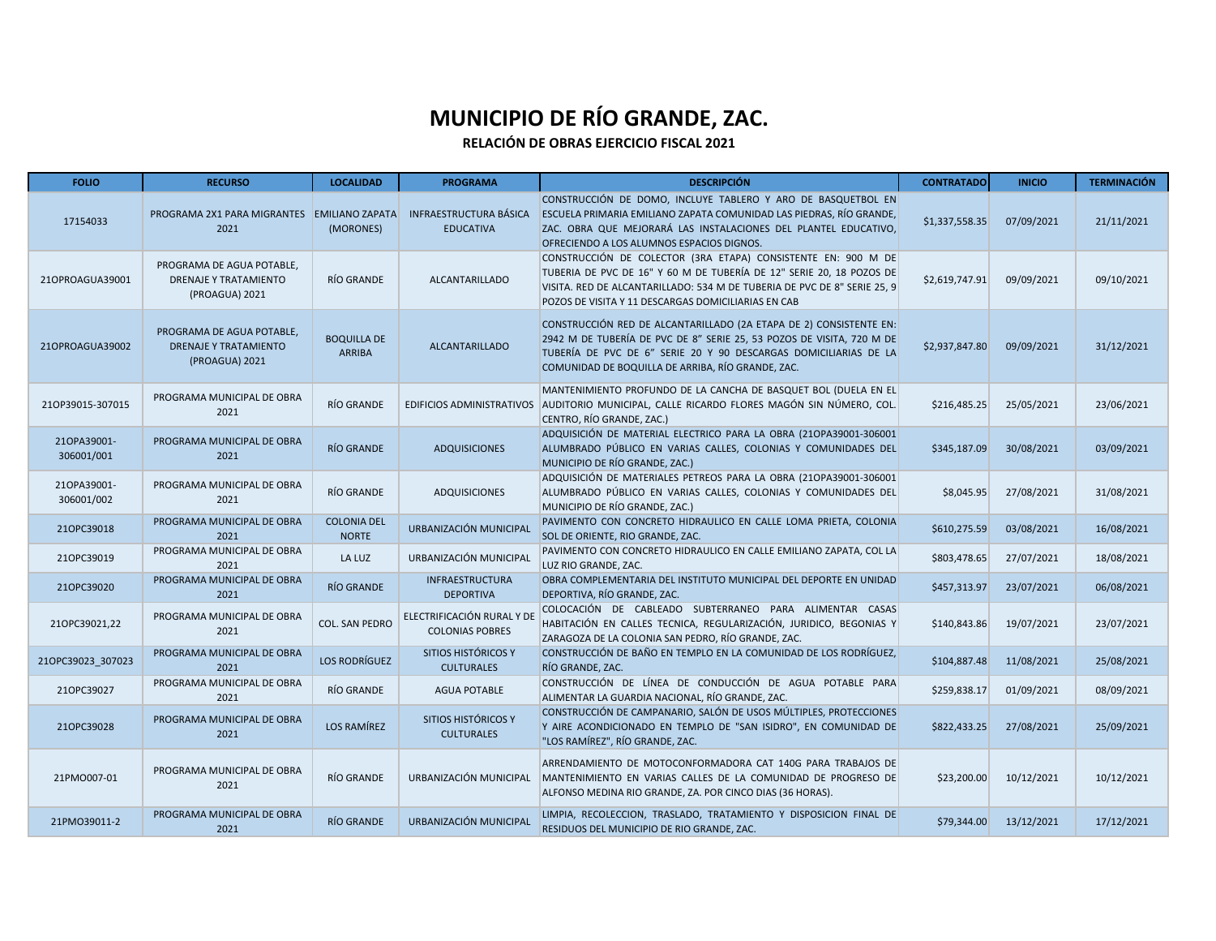| <b>FOLIO</b>              | <b>RECURSO</b>                                                              | <b>LOCALIDAD</b>                    | <b>PROGRAMA</b>                                      | <b>DESCRIPCIÓN</b>                                                                                                                                                                                                                                                       | <b>CONTRATADO</b> | <b>INICIO</b> | <b>TERMINACIÓN</b> |
|---------------------------|-----------------------------------------------------------------------------|-------------------------------------|------------------------------------------------------|--------------------------------------------------------------------------------------------------------------------------------------------------------------------------------------------------------------------------------------------------------------------------|-------------------|---------------|--------------------|
| 17154033                  | PROGRAMA 2X1 PARA MIGRANTES EMILIANO ZAPATA<br>2021                         | (MORONES)                           | <b>INFRAESTRUCTURA BÁSICA</b><br><b>EDUCATIVA</b>    | CONSTRUCCIÓN DE DOMO, INCLUYE TABLERO Y ARO DE BASQUETBOL EN<br>ESCUELA PRIMARIA EMILIANO ZAPATA COMUNIDAD LAS PIEDRAS, RÍO GRANDE,<br>ZAC. OBRA QUE MEJORARÁ LAS INSTALACIONES DEL PLANTEL EDUCATIVO.<br>OFRECIENDO A LOS ALUMNOS ESPACIOS DIGNOS.                      | \$1,337,558.35    | 07/09/2021    | 21/11/2021         |
| 210PROAGUA39001           | PROGRAMA DE AGUA POTABLE,<br><b>DRENAJE Y TRATAMIENTO</b><br>(PROAGUA) 2021 | RÍO GRANDE                          | <b>ALCANTARILLADO</b>                                | CONSTRUCCIÓN DE COLECTOR (3RA ETAPA) CONSISTENTE EN: 900 M DE<br>TUBERIA DE PVC DE 16" Y 60 M DE TUBERÍA DE 12" SERIE 20, 18 POZOS DE<br>VISITA. RED DE ALCANTARILLADO: 534 M DE TUBERIA DE PVC DE 8" SERIE 25, 9<br>POZOS DE VISITA Y 11 DESCARGAS DOMICILIARIAS EN CAB | \$2,619,747.91    | 09/09/2021    | 09/10/2021         |
| 210PROAGUA39002           | PROGRAMA DE AGUA POTABLE,<br><b>DRENAJE Y TRATAMIENTO</b><br>(PROAGUA) 2021 | <b>BOQUILLA DE</b><br><b>ARRIBA</b> | <b>ALCANTARILLADO</b>                                | CONSTRUCCIÓN RED DE ALCANTARILLADO (2A ETAPA DE 2) CONSISTENTE EN:<br>2942 M DE TUBERÍA DE PVC DE 8" SERIE 25, 53 POZOS DE VISITA, 720 M DE<br>TUBERÍA DE PVC DE 6" SERIE 20 Y 90 DESCARGAS DOMICILIARIAS DE LA<br>COMUNIDAD DE BOQUILLA DE ARRIBA, RÍO GRANDE, ZAC.     | \$2,937,847.80    | 09/09/2021    | 31/12/2021         |
| 21OP39015-307015          | PROGRAMA MUNICIPAL DE OBRA<br>2021                                          | RÍO GRANDE                          | EDIFICIOS ADMINISTRATIVOS                            | MANTENIMIENTO PROFUNDO DE LA CANCHA DE BASQUET BOL (DUELA EN EL<br>AUDITORIO MUNICIPAL, CALLE RICARDO FLORES MAGÓN SIN NÚMERO, COL.<br>CENTRO, RÍO GRANDE, ZAC.)                                                                                                         | \$216,485.25      | 25/05/2021    | 23/06/2021         |
| 210PA39001-<br>306001/001 | PROGRAMA MUNICIPAL DE OBRA<br>2021                                          | RÍO GRANDE                          | <b>ADQUISICIONES</b>                                 | ADQUISICIÓN DE MATERIAL ELECTRICO PARA LA OBRA (210PA39001-306001<br>ALUMBRADO PÚBLICO EN VARIAS CALLES, COLONIAS Y COMUNIDADES DEL<br>MUNICIPIO DE RÍO GRANDE, ZAC.)                                                                                                    | \$345,187.09      | 30/08/2021    | 03/09/2021         |
| 210PA39001-<br>306001/002 | PROGRAMA MUNICIPAL DE OBRA<br>2021                                          | RÍO GRANDE                          | <b>ADQUISICIONES</b>                                 | ADQUISICIÓN DE MATERIALES PETREOS PARA LA OBRA (210PA39001-306001<br>ALUMBRADO PÚBLICO EN VARIAS CALLES, COLONIAS Y COMUNIDADES DEL<br>MUNICIPIO DE RÍO GRANDE, ZAC.)                                                                                                    | \$8,045.95        | 27/08/2021    | 31/08/2021         |
| 210PC39018                | PROGRAMA MUNICIPAL DE OBRA<br>2021                                          | <b>COLONIA DEL</b><br><b>NORTE</b>  | URBANIZACIÓN MUNICIPAL                               | PAVIMENTO CON CONCRETO HIDRAULICO EN CALLE LOMA PRIETA, COLONIA<br>SOL DE ORIENTE, RIO GRANDE, ZAC.                                                                                                                                                                      | \$610,275.59      | 03/08/2021    | 16/08/2021         |
| 210PC39019                | PROGRAMA MUNICIPAL DE OBRA<br>2021                                          | LA LUZ                              | URBANIZACIÓN MUNICIPAL                               | PAVIMENTO CON CONCRETO HIDRAULICO EN CALLE EMILIANO ZAPATA, COL LA<br>LUZ RIO GRANDE, ZAC.                                                                                                                                                                               | \$803,478.65      | 27/07/2021    | 18/08/2021         |
| 210PC39020                | PROGRAMA MUNICIPAL DE OBRA<br>2021                                          | RÍO GRANDE                          | <b>INFRAESTRUCTURA</b><br><b>DEPORTIVA</b>           | OBRA COMPLEMENTARIA DEL INSTITUTO MUNICIPAL DEL DEPORTE EN UNIDAD<br>DEPORTIVA, RÍO GRANDE, ZAC.                                                                                                                                                                         | \$457,313.97      | 23/07/2021    | 06/08/2021         |
| 210PC39021.22             | PROGRAMA MUNICIPAL DE OBRA<br>2021                                          | <b>COL. SAN PEDRO</b>               | ELECTRIFICACIÓN RURAL Y DE<br><b>COLONIAS POBRES</b> | COLOCACIÓN DE CABLEADO SUBTERRANEO PARA ALIMENTAR CASAS<br>HABITACIÓN EN CALLES TECNICA, REGULARIZACIÓN, JURIDICO, BEGONIAS Y<br>ZARAGOZA DE LA COLONIA SAN PEDRO, RÍO GRANDE, ZAC.                                                                                      | \$140,843.86      | 19/07/2021    | 23/07/2021         |
| 21OPC39023 307023         | PROGRAMA MUNICIPAL DE OBRA<br>2021                                          | <b>LOS RODRÍGUEZ</b>                | SITIOS HISTÓRICOS Y<br><b>CULTURALES</b>             | CONSTRUCCIÓN DE BAÑO EN TEMPLO EN LA COMUNIDAD DE LOS RODRÍGUEZ,<br>RÍO GRANDE, ZAC.                                                                                                                                                                                     | \$104,887.48      | 11/08/2021    | 25/08/2021         |
| 210PC39027                | PROGRAMA MUNICIPAL DE OBRA<br>2021                                          | RÍO GRANDE                          | <b>AGUA POTABLE</b>                                  | CONSTRUCCIÓN DE LÍNEA DE CONDUCCIÓN DE AGUA POTABLE PARA<br>ALIMENTAR LA GUARDIA NACIONAL, RÍO GRANDE, ZAC.                                                                                                                                                              | \$259,838.17      | 01/09/2021    | 08/09/2021         |
| 210PC39028                | PROGRAMA MUNICIPAL DE OBRA<br>2021                                          | LOS RAMÍREZ                         | <b>SITIOS HISTÓRICOS Y</b><br><b>CULTURALES</b>      | CONSTRUCCIÓN DE CAMPANARIO, SALÓN DE USOS MÚLTIPLES, PROTECCIONES<br>Y AIRE ACONDICIONADO EN TEMPLO DE "SAN ISIDRO", EN COMUNIDAD DE<br>"LOS RAMÍREZ", RÍO GRANDE, ZAC.                                                                                                  | \$822,433.25      | 27/08/2021    | 25/09/2021         |
| 21PMO007-01               | PROGRAMA MUNICIPAL DE OBRA<br>2021                                          | RÍO GRANDE                          | URBANIZACIÓN MUNICIPAL                               | ARRENDAMIENTO DE MOTOCONFORMADORA CAT 140G PARA TRABAJOS DE<br>MANTENIMIENTO EN VARIAS CALLES DE LA COMUNIDAD DE PROGRESO DE<br>ALFONSO MEDINA RIO GRANDE, ZA. POR CINCO DIAS (36 HORAS).                                                                                | \$23,200.00       | 10/12/2021    | 10/12/2021         |
| 21PM039011-2              | PROGRAMA MUNICIPAL DE OBRA<br>2021                                          | <b>RÍO GRANDE</b>                   | URBANIZACIÓN MUNICIPAL                               | LIMPIA, RECOLECCION, TRASLADO, TRATAMIENTO Y DISPOSICION FINAL DE<br>RESIDUOS DEL MUNICIPIO DE RIO GRANDE, ZAC.                                                                                                                                                          | \$79,344.00       | 13/12/2021    | 17/12/2021         |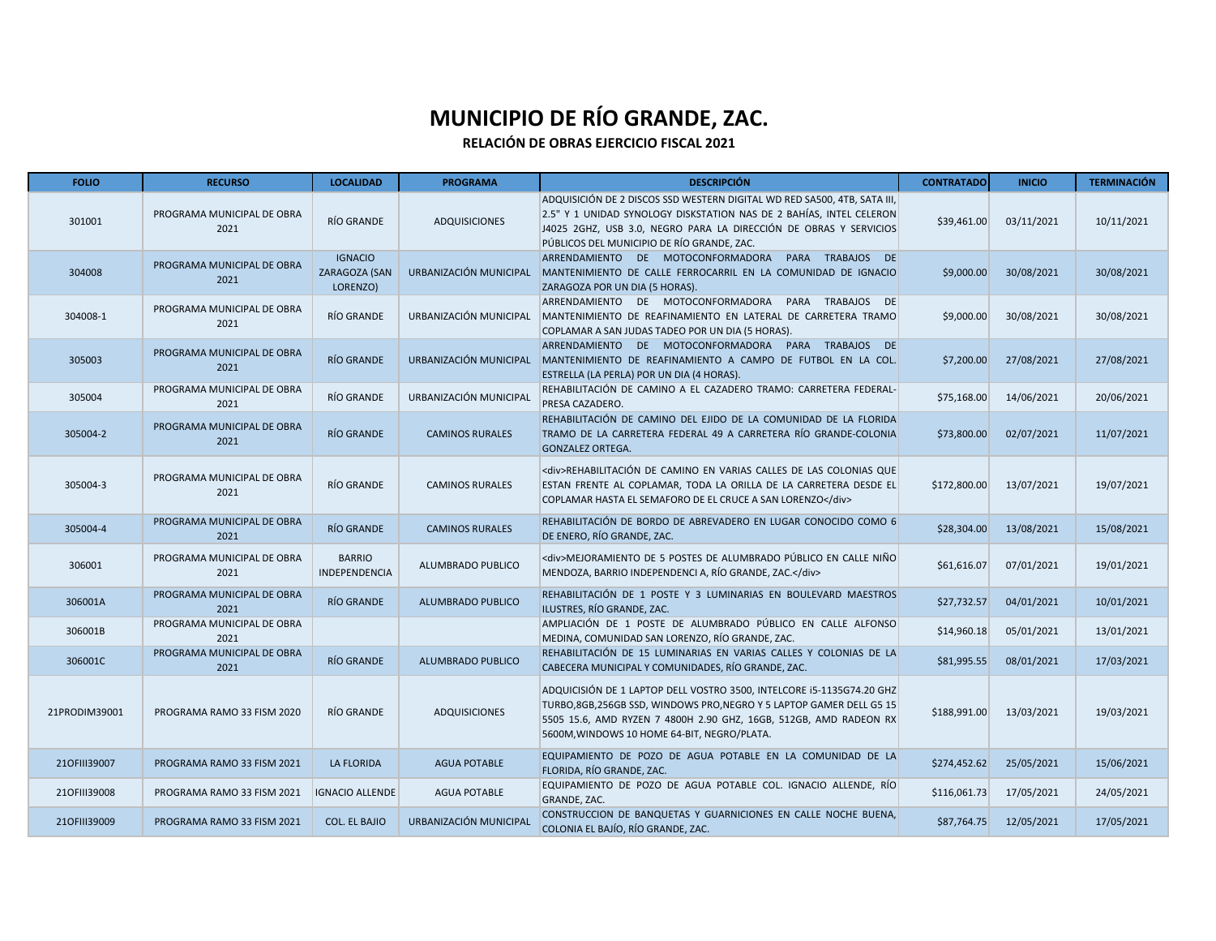| <b>FOLIO</b>  | <b>RECURSO</b>                     | <b>LOCALIDAD</b>                            | <b>PROGRAMA</b>        | <b>DESCRIPCIÓN</b>                                                                                                                                                                                                                                                 | <b>CONTRATADO</b> | <b>INICIO</b> | <b>TERMINACIÓN</b> |
|---------------|------------------------------------|---------------------------------------------|------------------------|--------------------------------------------------------------------------------------------------------------------------------------------------------------------------------------------------------------------------------------------------------------------|-------------------|---------------|--------------------|
| 301001        | PROGRAMA MUNICIPAL DE OBRA<br>2021 | RÍO GRANDE                                  | ADQUISICIONES          | ADQUISICIÓN DE 2 DISCOS SSD WESTERN DIGITAL WD RED SA500, 4TB, SATA III,<br>2.5" Y 1 UNIDAD SYNOLOGY DISKSTATION NAS DE 2 BAHÍAS, INTEL CELERON<br>J4025 2GHZ, USB 3.0, NEGRO PARA LA DIRECCIÓN DE OBRAS Y SERVICIOS<br>PÚBLICOS DEL MUNICIPIO DE RÍO GRANDE, ZAC. | \$39,461.00       | 03/11/2021    | 10/11/2021         |
| 304008        | PROGRAMA MUNICIPAL DE OBRA<br>2021 | <b>IGNACIO</b><br>ZARAGOZA (SAN<br>LORENZO) | URBANIZACIÓN MUNICIPAL | ARRENDAMIENTO DE MOTOCONFORMADORA PARA TRABAJOS DE<br>MANTENIMIENTO DE CALLE FERROCARRIL EN LA COMUNIDAD DE IGNACIO<br>ZARAGOZA POR UN DIA (5 HORAS).                                                                                                              | \$9,000.00        | 30/08/2021    | 30/08/2021         |
| 304008-1      | PROGRAMA MUNICIPAL DE OBRA<br>2021 | RÍO GRANDE                                  | URBANIZACIÓN MUNICIPAL | ARRENDAMIENTO DE MOTOCONFORMADORA PARA TRABAJOS DE<br>MANTENIMIENTO DE REAFINAMIENTO EN LATERAL DE CARRETERA TRAMO<br>COPLAMAR A SAN JUDAS TADEO POR UN DIA (5 HORAS).                                                                                             | \$9,000.00        | 30/08/2021    | 30/08/2021         |
| 305003        | PROGRAMA MUNICIPAL DE OBRA<br>2021 | <b>RÍO GRANDE</b>                           | URBANIZACIÓN MUNICIPAL | ARRENDAMIENTO DE MOTOCONFORMADORA PARA TRABAJOS DE<br>MANTENIMIENTO DE REAFINAMIENTO A CAMPO DE FUTBOL EN LA COL.<br>ESTRELLA (LA PERLA) POR UN DIA (4 HORAS).                                                                                                     | \$7,200.00        | 27/08/2021    | 27/08/2021         |
| 305004        | PROGRAMA MUNICIPAL DE OBRA<br>2021 | RÍO GRANDE                                  | URBANIZACIÓN MUNICIPAL | REHABILITACIÓN DE CAMINO A EL CAZADERO TRAMO: CARRETERA FEDERAL-<br>PRESA CAZADERO.                                                                                                                                                                                | \$75,168.00       | 14/06/2021    | 20/06/2021         |
| 305004-2      | PROGRAMA MUNICIPAL DE OBRA<br>2021 | <b>RÍO GRANDE</b>                           | <b>CAMINOS RURALES</b> | REHABILITACIÓN DE CAMINO DEL EJIDO DE LA COMUNIDAD DE LA FLORIDA<br>TRAMO DE LA CARRETERA FEDERAL 49 A CARRETERA RÍO GRANDE-COLONIA<br><b>GONZALEZ ORTEGA.</b>                                                                                                     | \$73,800.00       | 02/07/2021    | 11/07/2021         |
| 305004-3      | PROGRAMA MUNICIPAL DE OBRA<br>2021 | RÍO GRANDE                                  | <b>CAMINOS RURALES</b> | <br><br><br><br>LAS COLONIAS QUE<br>ESTAN FRENTE AL COPLAMAR, TODA LA ORILLA DE LA CARRETERA DESDE EL<br>COPLAMAR HASTA EL SEMAFORO DE EL CRUCE A SAN LORENZO                                                                                                      | \$172,800.00      | 13/07/2021    | 19/07/2021         |
| 305004-4      | PROGRAMA MUNICIPAL DE OBRA<br>2021 | RÍO GRANDE                                  | <b>CAMINOS RURALES</b> | REHABILITACIÓN DE BORDO DE ABREVADERO EN LUGAR CONOCIDO COMO 6<br>DE ENERO, RÍO GRANDE, ZAC.                                                                                                                                                                       | \$28,304.00       | 13/08/2021    | 15/08/2021         |
| 306001        | PROGRAMA MUNICIPAL DE OBRA<br>2021 | <b>BARRIO</b><br><b>INDEPENDENCIA</b>       | ALUMBRADO PUBLICO      | <div>MEJORAMIENTO DE 5 POSTES DE ALUMBRADO PÚBLICO EN CALLE NIÑO<br/>MENDOZA, BARRIO INDEPENDENCI A, RÍO GRANDE, ZAC.</div>                                                                                                                                        | \$61,616.07       | 07/01/2021    | 19/01/2021         |
| 306001A       | PROGRAMA MUNICIPAL DE OBRA<br>2021 | RÍO GRANDE                                  | ALUMBRADO PUBLICO      | REHABILITACIÓN DE 1 POSTE Y 3 LUMINARIAS EN BOULEVARD MAESTROS<br>ILUSTRES, RÍO GRANDE, ZAC.                                                                                                                                                                       | \$27,732.57       | 04/01/2021    | 10/01/2021         |
| 306001B       | PROGRAMA MUNICIPAL DE OBRA<br>2021 |                                             |                        | AMPLIACIÓN DE 1 POSTE DE ALUMBRADO PÚBLICO EN CALLE ALFONSO<br>MEDINA, COMUNIDAD SAN LORENZO, RÍO GRANDE, ZAC.                                                                                                                                                     | \$14,960.18       | 05/01/2021    | 13/01/2021         |
| 306001C       | PROGRAMA MUNICIPAL DE OBRA<br>2021 | <b>RÍO GRANDE</b>                           | ALUMBRADO PUBLICO      | REHABILITACIÓN DE 15 LUMINARIAS EN VARIAS CALLES Y COLONIAS DE LA<br>CABECERA MUNICIPAL Y COMUNIDADES, RÍO GRANDE, ZAC.                                                                                                                                            | \$81,995.55       | 08/01/2021    | 17/03/2021         |
| 21PRODIM39001 | PROGRAMA RAMO 33 FISM 2020         | RÍO GRANDE                                  | <b>ADQUISICIONES</b>   | ADQUICISIÓN DE 1 LAPTOP DELL VOSTRO 3500, INTELCORE I5-1135G74.20 GHZ<br>TURBO, 8GB, 256GB SSD, WINDOWS PRO, NEGRO Y 5 LAPTOP GAMER DELL G5 15<br>5505 15.6, AMD RYZEN 7 4800H 2.90 GHZ, 16GB, 512GB, AMD RADEON RX<br>5600M, WINDOWS 10 HOME 64-BIT, NEGRO/PLATA. | \$188,991.00      | 13/03/2021    | 19/03/2021         |
| 210FIII39007  | PROGRAMA RAMO 33 FISM 2021         | <b>LA FLORIDA</b>                           | <b>AGUA POTABLE</b>    | EQUIPAMIENTO DE POZO DE AGUA POTABLE EN LA COMUNIDAD DE LA<br>FLORIDA, RÍO GRANDE, ZAC.                                                                                                                                                                            | \$274,452.62      | 25/05/2021    | 15/06/2021         |
| 210FIII39008  | PROGRAMA RAMO 33 FISM 2021         | <b>IGNACIO ALLENDE</b>                      | <b>AGUA POTABLE</b>    | EQUIPAMIENTO DE POZO DE AGUA POTABLE COL. IGNACIO ALLENDE, RÍO<br>GRANDE, ZAC.                                                                                                                                                                                     | \$116,061.73      | 17/05/2021    | 24/05/2021         |
| 210FIII39009  | PROGRAMA RAMO 33 FISM 2021         | <b>COL. EL BAJIO</b>                        | URBANIZACIÓN MUNICIPAL | CONSTRUCCION DE BANQUETAS Y GUARNICIONES EN CALLE NOCHE BUENA,<br>COLONIA EL BAJÍO, RÍO GRANDE, ZAC.                                                                                                                                                               | \$87,764.75       | 12/05/2021    | 17/05/2021         |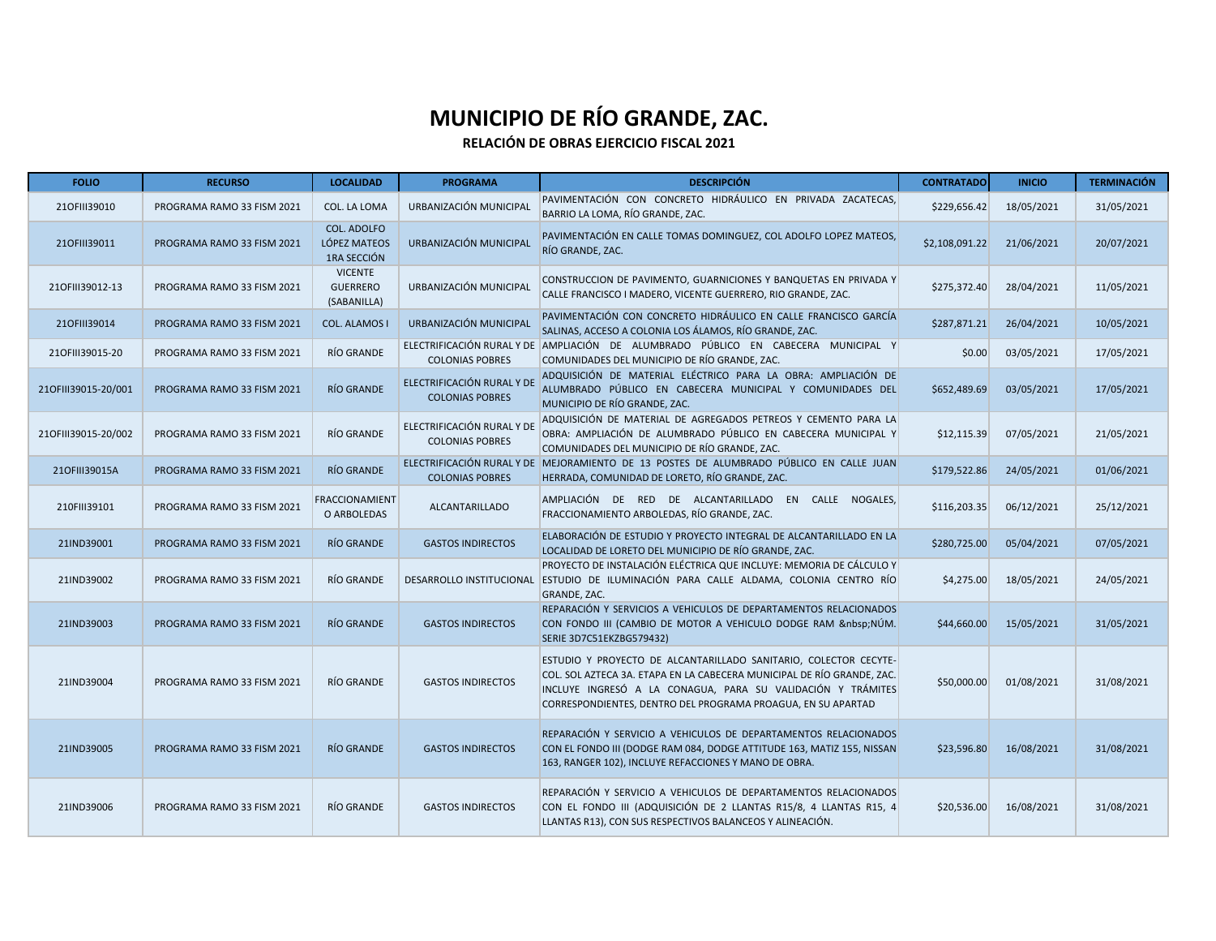| <b>FOLIO</b>        | <b>RECURSO</b>             | <b>LOCALIDAD</b>                                  | <b>PROGRAMA</b>                                      | <b>DESCRIPCIÓN</b>                                                                                                                                                                                                                                                        | <b>CONTRATADO</b> | <b>INICIO</b> | <b>TERMINACIÓN</b> |
|---------------------|----------------------------|---------------------------------------------------|------------------------------------------------------|---------------------------------------------------------------------------------------------------------------------------------------------------------------------------------------------------------------------------------------------------------------------------|-------------------|---------------|--------------------|
| 210FIII39010        | PROGRAMA RAMO 33 FISM 2021 | COL. LA LOMA                                      | URBANIZACIÓN MUNICIPAL                               | PAVIMENTACIÓN CON CONCRETO HIDRÁULICO EN PRIVADA ZACATECAS,<br>BARRIO LA LOMA, RÍO GRANDE, ZAC.                                                                                                                                                                           | \$229,656.42      | 18/05/2021    | 31/05/2021         |
| 210FIII39011        | PROGRAMA RAMO 33 FISM 2021 | <b>COL. ADOLFO</b><br>LÓPEZ MATEOS<br>1RA SECCIÓN | URBANIZACIÓN MUNICIPAL                               | PAVIMENTACIÓN EN CALLE TOMAS DOMINGUEZ, COL ADOLFO LOPEZ MATEOS,<br>RÍO GRANDE, ZAC.                                                                                                                                                                                      | \$2,108,091.22    | 21/06/2021    | 20/07/2021         |
| 210FIII39012-13     | PROGRAMA RAMO 33 FISM 2021 | <b>VICENTE</b><br><b>GUERRERO</b><br>(SABANILLA)  | URBANIZACIÓN MUNICIPAL                               | CONSTRUCCION DE PAVIMENTO, GUARNICIONES Y BANQUETAS EN PRIVADA Y<br>CALLE FRANCISCO I MADERO, VICENTE GUERRERO, RIO GRANDE, ZAC.                                                                                                                                          | \$275,372.40      | 28/04/2021    | 11/05/2021         |
| 210FIII39014        | PROGRAMA RAMO 33 FISM 2021 | <b>COL. ALAMOS I</b>                              | URBANIZACIÓN MUNICIPAL                               | PAVIMENTACIÓN CON CONCRETO HIDRÁULICO EN CALLE FRANCISCO GARCÍA<br>SALINAS, ACCESO A COLONIA LOS ÁLAMOS, RÍO GRANDE, ZAC.                                                                                                                                                 | \$287,871.21      | 26/04/2021    | 10/05/2021         |
| 210FIII39015-20     | PROGRAMA RAMO 33 FISM 2021 | RÍO GRANDE                                        | <b>COLONIAS POBRES</b>                               | ELECTRIFICACIÓN RURAL Y DE AMPLIACIÓN DE ALUMBRADO PÚBLICO EN CABECERA MUNICIPAL Y<br>COMUNIDADES DEL MUNICIPIO DE RÍO GRANDE, ZAC.                                                                                                                                       | \$0.00            | 03/05/2021    | 17/05/2021         |
| 210FIII39015-20/001 | PROGRAMA RAMO 33 FISM 2021 | RÍO GRANDE                                        | ELECTRIFICACIÓN RURAL Y DE<br><b>COLONIAS POBRES</b> | ADQUISICIÓN DE MATERIAL ELÉCTRICO PARA LA OBRA: AMPLIACIÓN DE<br>ALUMBRADO PÚBLICO EN CABECERA MUNICIPAL Y COMUNIDADES DEL<br>MUNICIPIO DE RÍO GRANDE, ZAC.                                                                                                               | \$652,489.69      | 03/05/2021    | 17/05/2021         |
| 210FIII39015-20/002 | PROGRAMA RAMO 33 FISM 2021 | RÍO GRANDE                                        | ELECTRIFICACIÓN RURAL Y DE<br><b>COLONIAS POBRES</b> | ADQUISICIÓN DE MATERIAL DE AGREGADOS PETREOS Y CEMENTO PARA LA<br>OBRA: AMPLIACIÓN DE ALUMBRADO PÚBLICO EN CABECERA MUNICIPAL Y<br>COMUNIDADES DEL MUNICIPIO DE RÍO GRANDE, ZAC.                                                                                          | \$12,115.39       | 07/05/2021    | 21/05/2021         |
| 210FIII39015A       | PROGRAMA RAMO 33 FISM 2021 | <b>RÍO GRANDE</b>                                 | <b>COLONIAS POBRES</b>                               | ELECTRIFICACIÓN RURAL Y DE MEJORAMIENTO DE 13 POSTES DE ALUMBRADO PÚBLICO EN CALLE JUAN<br>HERRADA, COMUNIDAD DE LORETO, RÍO GRANDE, ZAC.                                                                                                                                 | \$179,522.86      | 24/05/2021    | 01/06/2021         |
| 210FIII39101        | PROGRAMA RAMO 33 FISM 2021 | <b>FRACCIONAMIENT</b><br>O ARBOLEDAS              | <b>ALCANTARILLADO</b>                                | AMPLIACIÓN DE RED DE ALCANTARILLADO EN CALLE NOGALES,<br>FRACCIONAMIENTO ARBOLEDAS, RÍO GRANDE, ZAC.                                                                                                                                                                      | \$116,203.35      | 06/12/2021    | 25/12/2021         |
| 21IND39001          | PROGRAMA RAMO 33 FISM 2021 | RÍO GRANDE                                        | <b>GASTOS INDIRECTOS</b>                             | ELABORACIÓN DE ESTUDIO Y PROYECTO INTEGRAL DE ALCANTARILLADO EN LA<br>LOCALIDAD DE LORETO DEL MUNICIPIO DE RÍO GRANDE. ZAC.                                                                                                                                               | \$280,725.00      | 05/04/2021    | 07/05/2021         |
| 21IND39002          | PROGRAMA RAMO 33 FISM 2021 | RÍO GRANDE                                        | DESARROLLO INSTITUCIONAL                             | PROYECTO DE INSTALACIÓN ELÉCTRICA QUE INCLUYE: MEMORIA DE CÁLCULO Y<br>ESTUDIO DE ILUMINACIÓN PARA CALLE ALDAMA, COLONIA CENTRO RÍO<br>GRANDE, ZAC.                                                                                                                       | \$4,275.00        | 18/05/2021    | 24/05/2021         |
| 21IND39003          | PROGRAMA RAMO 33 FISM 2021 | RÍO GRANDE                                        | <b>GASTOS INDIRECTOS</b>                             | REPARACIÓN Y SERVICIOS A VEHICULOS DE DEPARTAMENTOS RELACIONADOS<br>CON FONDO III (CAMBIO DE MOTOR A VEHICULO DODGE RAM  NÚM.<br>SERIE 3D7C51EKZBG579432)                                                                                                                 | \$44,660.00       | 15/05/2021    | 31/05/2021         |
| 21IND39004          | PROGRAMA RAMO 33 FISM 2021 | RÍO GRANDE                                        | <b>GASTOS INDIRECTOS</b>                             | ESTUDIO Y PROYECTO DE ALCANTARILLADO SANITARIO, COLECTOR CECYTE-<br>COL. SOL AZTECA 3A. ETAPA EN LA CABECERA MUNICIPAL DE RÍO GRANDE, ZAC.<br>INCLUYE INGRESÓ A LA CONAGUA, PARA SU VALIDACIÓN Y TRÁMITES<br>CORRESPONDIENTES, DENTRO DEL PROGRAMA PROAGUA, EN SU APARTAD | \$50,000.00       | 01/08/2021    | 31/08/2021         |
| 21IND39005          | PROGRAMA RAMO 33 FISM 2021 | RÍO GRANDE                                        | <b>GASTOS INDIRECTOS</b>                             | REPARACIÓN Y SERVICIO A VEHICULOS DE DEPARTAMENTOS RELACIONADOS<br>CON EL FONDO III (DODGE RAM 084, DODGE ATTITUDE 163, MATIZ 155, NISSAN<br>163, RANGER 102), INCLUYE REFACCIONES Y MANO DE OBRA.                                                                        | \$23,596.80       | 16/08/2021    | 31/08/2021         |
| 21IND39006          | PROGRAMA RAMO 33 FISM 2021 | RÍO GRANDE                                        | <b>GASTOS INDIRECTOS</b>                             | REPARACIÓN Y SERVICIO A VEHICULOS DE DEPARTAMENTOS RELACIONADOS<br>CON EL FONDO III (ADQUISICIÓN DE 2 LLANTAS R15/8, 4 LLANTAS R15, 4<br>LLANTAS R13), CON SUS RESPECTIVOS BALANCEOS Y ALINEACIÓN.                                                                        | \$20,536.00       | 16/08/2021    | 31/08/2021         |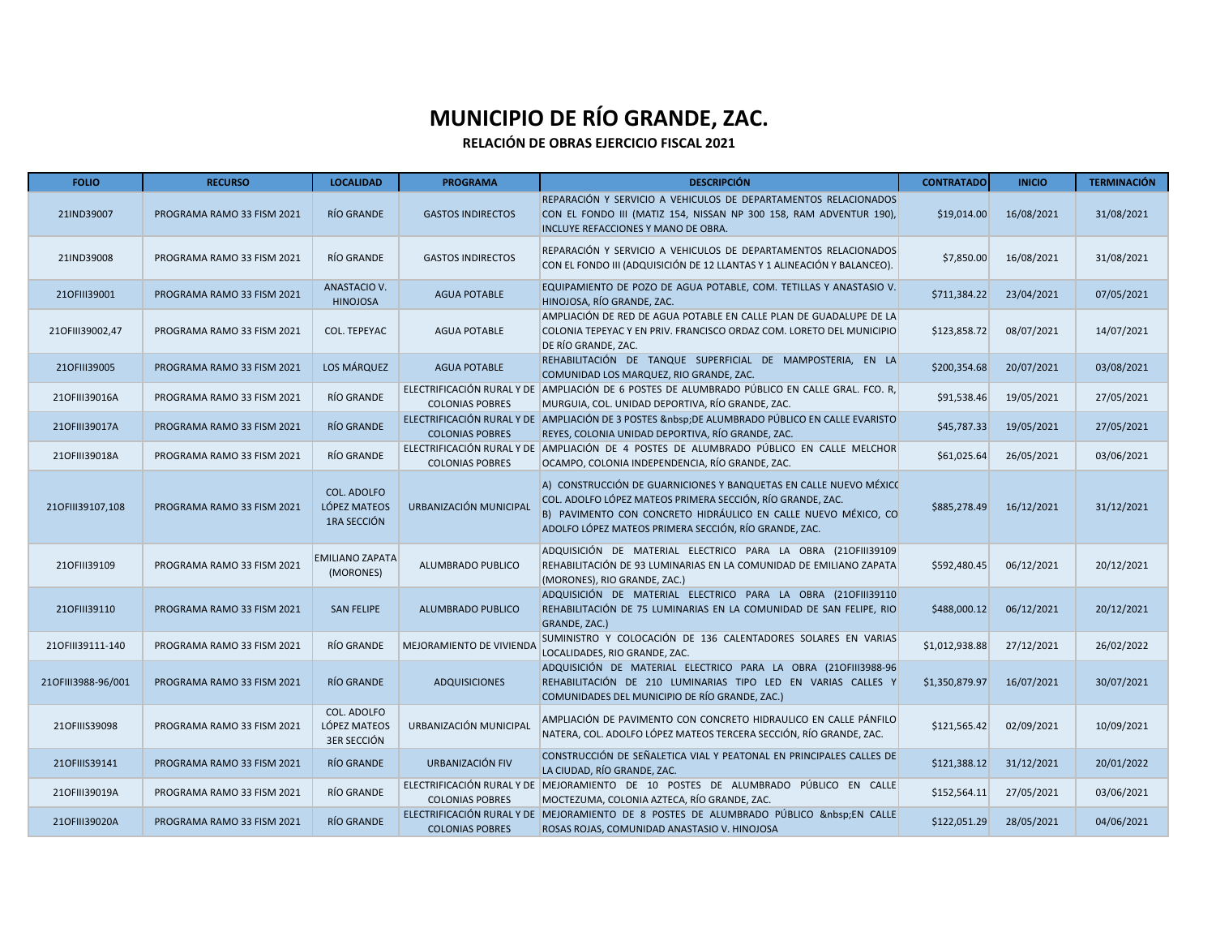| <b>FOLIO</b>       | <b>RECURSO</b>             | <b>LOCALIDAD</b>                                  | <b>PROGRAMA</b>          | <b>DESCRIPCIÓN</b>                                                                                                                                                                                                                                         | <b>CONTRATADO</b> | <b>INICIO</b> | <b>TERMINACIÓN</b> |
|--------------------|----------------------------|---------------------------------------------------|--------------------------|------------------------------------------------------------------------------------------------------------------------------------------------------------------------------------------------------------------------------------------------------------|-------------------|---------------|--------------------|
| 21IND39007         | PROGRAMA RAMO 33 FISM 2021 | RÍO GRANDE                                        | <b>GASTOS INDIRECTOS</b> | REPARACIÓN Y SERVICIO A VEHICULOS DE DEPARTAMENTOS RELACIONADOS<br>CON EL FONDO III (MATIZ 154, NISSAN NP 300 158, RAM ADVENTUR 190),<br>INCLUYE REFACCIONES Y MANO DE OBRA.                                                                               | \$19,014.00       | 16/08/2021    | 31/08/2021         |
| 21IND39008         | PROGRAMA RAMO 33 FISM 2021 | RÍO GRANDE                                        | <b>GASTOS INDIRECTOS</b> | REPARACIÓN Y SERVICIO A VEHICULOS DE DEPARTAMENTOS RELACIONADOS<br>CON EL FONDO III (ADQUISICIÓN DE 12 LLANTAS Y 1 ALINEACIÓN Y BALANCEO).                                                                                                                 | \$7,850.00        | 16/08/2021    | 31/08/2021         |
| 210FIII39001       | PROGRAMA RAMO 33 FISM 2021 | ANASTACIO V.<br><b>HINOJOSA</b>                   | <b>AGUA POTABLE</b>      | EQUIPAMIENTO DE POZO DE AGUA POTABLE, COM. TETILLAS Y ANASTASIO V.<br>HINOJOSA, RÍO GRANDE, ZAC.                                                                                                                                                           | \$711,384.22      | 23/04/2021    | 07/05/2021         |
| 210FIII39002,47    | PROGRAMA RAMO 33 FISM 2021 | COL. TEPEYAC                                      | <b>AGUA POTABLE</b>      | AMPLIACIÓN DE RED DE AGUA POTABLE EN CALLE PLAN DE GUADALUPE DE LA<br>COLONIA TEPEYAC Y EN PRIV. FRANCISCO ORDAZ COM. LORETO DEL MUNICIPIO<br>DE RÍO GRANDE, ZAC.                                                                                          | \$123,858.72      | 08/07/2021    | 14/07/2021         |
| 210FIII39005       | PROGRAMA RAMO 33 FISM 2021 | LOS MÁRQUEZ                                       | <b>AGUA POTABLE</b>      | REHABILITACIÓN DE TANQUE SUPERFICIAL DE MAMPOSTERIA, EN LA<br>COMUNIDAD LOS MARQUEZ, RIO GRANDE, ZAC.                                                                                                                                                      | \$200,354.68      | 20/07/2021    | 03/08/2021         |
| 210FIII39016A      | PROGRAMA RAMO 33 FISM 2021 | RÍO GRANDE                                        | <b>COLONIAS POBRES</b>   | ELECTRIFICACIÓN RURAL Y DE AMPLIACIÓN DE 6 POSTES DE ALUMBRADO PÚBLICO EN CALLE GRAL. FCO. R.<br>MURGUIA, COL. UNIDAD DEPORTIVA, RÍO GRANDE, ZAC.                                                                                                          | \$91,538.46       | 19/05/2021    | 27/05/2021         |
| 210FIII39017A      | PROGRAMA RAMO 33 FISM 2021 | RÍO GRANDE                                        | <b>COLONIAS POBRES</b>   | ELECTRIFICACIÓN RURAL Y DE AMPLIACIÓN DE 3 POSTES & nbsp; DE ALUMBRADO PÚBLICO EN CALLE EVARISTO<br>REYES, COLONIA UNIDAD DEPORTIVA, RÍO GRANDE, ZAC.                                                                                                      | \$45,787.33       | 19/05/2021    | 27/05/2021         |
| 210FIII39018A      | PROGRAMA RAMO 33 FISM 2021 | RÍO GRANDE                                        | <b>COLONIAS POBRES</b>   | ELECTRIFICACIÓN RURAL Y DE AMPLIACIÓN DE 4 POSTES DE ALUMBRADO PÚBLICO EN CALLE MELCHOR<br>OCAMPO, COLONIA INDEPENDENCIA, RÍO GRANDE, ZAC.                                                                                                                 | \$61,025.64       | 26/05/2021    | 03/06/2021         |
| 210FIII39107,108   | PROGRAMA RAMO 33 FISM 2021 | COL. ADOLFO<br>LÓPEZ MATEOS<br>1RA SECCIÓN        | URBANIZACIÓN MUNICIPAL   | A) CONSTRUCCIÓN DE GUARNICIONES Y BANQUETAS EN CALLE NUEVO MÉXICO<br>COL. ADOLFO LÓPEZ MATEOS PRIMERA SECCIÓN, RÍO GRANDE, ZAC.<br>B) PAVIMENTO CON CONCRETO HIDRÁULICO EN CALLE NUEVO MÉXICO, CO<br>ADOLFO LÓPEZ MATEOS PRIMERA SECCIÓN, RÍO GRANDE, ZAC. | \$885,278.49      | 16/12/2021    | 31/12/2021         |
| 210FIII39109       | PROGRAMA RAMO 33 FISM 2021 | <b>EMILIANO ZAPATA</b><br>(MORONES)               | ALUMBRADO PUBLICO        | ADQUISICIÓN DE MATERIAL ELECTRICO PARA LA OBRA (210FIII39109<br>REHABILITACIÓN DE 93 LUMINARIAS EN LA COMUNIDAD DE EMILIANO ZAPATA<br>(MORONES), RIO GRANDE, ZAC.)                                                                                         | \$592,480.45      | 06/12/2021    | 20/12/2021         |
| 210FIII39110       | PROGRAMA RAMO 33 FISM 2021 | <b>SAN FELIPE</b>                                 | ALUMBRADO PUBLICO        | ADQUISICIÓN DE MATERIAL ELECTRICO PARA LA OBRA (210FIII39110<br>REHABILITACIÓN DE 75 LUMINARIAS EN LA COMUNIDAD DE SAN FELIPE, RIO<br>GRANDE, ZAC.)                                                                                                        | \$488,000.12      | 06/12/2021    | 20/12/2021         |
| 210FIII39111-140   | PROGRAMA RAMO 33 FISM 2021 | RÍO GRANDE                                        | MEJORAMIENTO DE VIVIENDA | SUMINISTRO Y COLOCACIÓN DE 136 CALENTADORES SOLARES EN VARIAS<br>LOCALIDADES, RIO GRANDE, ZAC.                                                                                                                                                             | \$1,012,938.88    | 27/12/2021    | 26/02/2022         |
| 210FIII3988-96/001 | PROGRAMA RAMO 33 FISM 2021 | RÍO GRANDE                                        | <b>ADQUISICIONES</b>     | ADQUISICIÓN DE MATERIAL ELECTRICO PARA LA OBRA (210FIII3988-96<br>REHABILITACIÓN DE 210 LUMINARIAS TIPO LED EN VARIAS CALLES Y<br>COMUNIDADES DEL MUNICIPIO DE RÍO GRANDE, ZAC.)                                                                           | \$1,350,879.97    | 16/07/2021    | 30/07/2021         |
| 210FIIIS39098      | PROGRAMA RAMO 33 FISM 2021 | COL. ADOLFO<br>LÓPEZ MATEOS<br><b>3ER SECCIÓN</b> | URBANIZACIÓN MUNICIPAL   | AMPLIACIÓN DE PAVIMENTO CON CONCRETO HIDRAULICO EN CALLE PÁNFILO<br>NATERA, COL. ADOLFO LÓPEZ MATEOS TERCERA SECCIÓN, RÍO GRANDE, ZAC.                                                                                                                     | \$121,565.42      | 02/09/2021    | 10/09/2021         |
| 210FIIIS39141      | PROGRAMA RAMO 33 FISM 2021 | RÍO GRANDE                                        | URBANIZACIÓN FIV         | CONSTRUCCIÓN DE SEÑALETICA VIAL Y PEATONAL EN PRINCIPALES CALLES DE<br>LA CIUDAD, RÍO GRANDE, ZAC.                                                                                                                                                         | \$121,388.12      | 31/12/2021    | 20/01/2022         |
| 210FIII39019A      | PROGRAMA RAMO 33 FISM 2021 | RÍO GRANDE                                        | <b>COLONIAS POBRES</b>   | ELECTRIFICACIÓN RURAL Y DE MEJORAMIENTO DE 10 POSTES DE ALUMBRADO PÚBLICO EN CALLE<br>MOCTEZUMA, COLONIA AZTECA, RÍO GRANDE, ZAC.                                                                                                                          | \$152,564.11      | 27/05/2021    | 03/06/2021         |
| 210FIII39020A      | PROGRAMA RAMO 33 FISM 2021 | RÍO GRANDE                                        | <b>COLONIAS POBRES</b>   | ELECTRIFICACIÓN RURAL Y DE MEJORAMIENTO DE 8 POSTES DE ALUMBRADO PÚBLICO  EN CALLE<br>ROSAS ROJAS, COMUNIDAD ANASTASIO V. HINOJOSA                                                                                                                         | \$122,051.29      | 28/05/2021    | 04/06/2021         |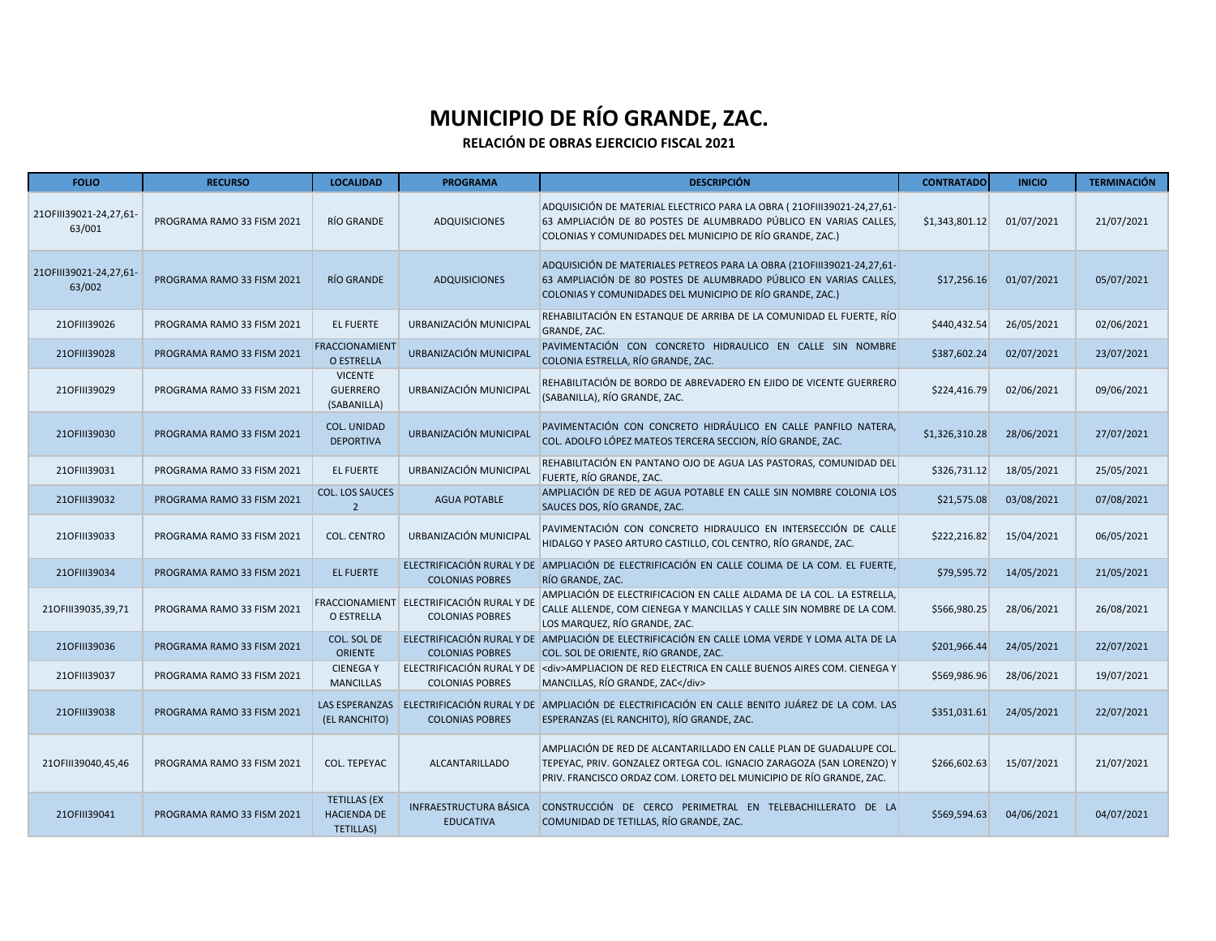| <b>FOLIO</b>                     | <b>RECURSO</b>             | <b>LOCALIDAD</b>                                              | <b>PROGRAMA</b>                                                     | <b>DESCRIPCIÓN</b>                                                                                                                                                                                                 | <b>CONTRATADO</b> | <b>INICIO</b> | <b>TERMINACIÓN</b> |
|----------------------------------|----------------------------|---------------------------------------------------------------|---------------------------------------------------------------------|--------------------------------------------------------------------------------------------------------------------------------------------------------------------------------------------------------------------|-------------------|---------------|--------------------|
| 210FIII39021-24,27,61-<br>63/001 | PROGRAMA RAMO 33 FISM 2021 | RÍO GRANDE                                                    | <b>ADQUISICIONES</b>                                                | ADQUISICIÓN DE MATERIAL ELECTRICO PARA LA OBRA (210FIII39021-24,27,61-<br>63 AMPLIACIÓN DE 80 POSTES DE ALUMBRADO PÚBLICO EN VARIAS CALLES,<br>COLONIAS Y COMUNIDADES DEL MUNICIPIO DE RÍO GRANDE, ZAC.)           | \$1,343,801.12    | 01/07/2021    | 21/07/2021         |
| 210FIII39021-24,27,61-<br>63/002 | PROGRAMA RAMO 33 FISM 2021 | <b>RÍO GRANDE</b>                                             | <b>ADQUISICIONES</b>                                                | ADQUISICIÓN DE MATERIALES PETREOS PARA LA OBRA (210FIII39021-24,27,61-<br>63 AMPLIACIÓN DE 80 POSTES DE ALUMBRADO PÚBLICO EN VARIAS CALLES,<br>COLONIAS Y COMUNIDADES DEL MUNICIPIO DE RÍO GRANDE, ZAC.)           | \$17,256.16       | 01/07/2021    | 05/07/2021         |
| 210FIII39026                     | PROGRAMA RAMO 33 FISM 2021 | <b>EL FUERTE</b>                                              | URBANIZACIÓN MUNICIPAL                                              | REHABILITACIÓN EN ESTANQUE DE ARRIBA DE LA COMUNIDAD EL FUERTE, RÍO<br>GRANDE, ZAC.                                                                                                                                | \$440,432.54      | 26/05/2021    | 02/06/2021         |
| 210FIII39028                     | PROGRAMA RAMO 33 FISM 2021 | <b>FRACCIONAMIENT</b><br>O ESTRELLA                           | URBANIZACIÓN MUNICIPAL                                              | PAVIMENTACIÓN CON CONCRETO HIDRAULICO EN CALLE SIN NOMBRE<br>COLONIA ESTRELLA, RÍO GRANDE, ZAC.                                                                                                                    | \$387,602.24      | 02/07/2021    | 23/07/2021         |
| 210FIII39029                     | PROGRAMA RAMO 33 FISM 2021 | <b>VICENTE</b><br><b>GUERRERO</b><br>(SABANILLA)              | URBANIZACIÓN MUNICIPAL                                              | REHABILITACIÓN DE BORDO DE ABREVADERO EN EJIDO DE VICENTE GUERRERO<br>(SABANILLA), RÍO GRANDE, ZAC.                                                                                                                | \$224,416.79      | 02/06/2021    | 09/06/2021         |
| 210FIII39030                     | PROGRAMA RAMO 33 FISM 2021 | <b>COL. UNIDAD</b><br><b>DEPORTIVA</b>                        | URBANIZACIÓN MUNICIPAL                                              | PAVIMENTACIÓN CON CONCRETO HIDRÁULICO EN CALLE PANFILO NATERA,<br>COL. ADOLFO LÓPEZ MATEOS TERCERA SECCION, RÍO GRANDE, ZAC.                                                                                       | \$1,326,310.28    | 28/06/2021    | 27/07/2021         |
| 210FIII39031                     | PROGRAMA RAMO 33 FISM 2021 | <b>EL FUERTE</b>                                              | URBANIZACIÓN MUNICIPAL                                              | REHABILITACIÓN EN PANTANO OJO DE AGUA LAS PASTORAS, COMUNIDAD DEL<br>FUERTE, RÍO GRANDE, ZAC.                                                                                                                      | \$326.731.12      | 18/05/2021    | 25/05/2021         |
| 210FIII39032                     | PROGRAMA RAMO 33 FISM 2021 | <b>COL. LOS SAUCES</b><br>$\overline{2}$                      | <b>AGUA POTABLE</b>                                                 | AMPLIACIÓN DE RED DE AGUA POTABLE EN CALLE SIN NOMBRE COLONIA LOS<br>SAUCES DOS, RÍO GRANDE, ZAC.                                                                                                                  | \$21,575.08       | 03/08/2021    | 07/08/2021         |
| 210FIII39033                     | PROGRAMA RAMO 33 FISM 2021 | <b>COL. CENTRO</b>                                            | URBANIZACIÓN MUNICIPAL                                              | PAVIMENTACIÓN CON CONCRETO HIDRAULICO EN INTERSECCIÓN DE CALLE<br>HIDALGO Y PASEO ARTURO CASTILLO, COL CENTRO, RÍO GRANDE, ZAC.                                                                                    | \$222,216.82      | 15/04/2021    | 06/05/2021         |
| 210FIII39034                     | PROGRAMA RAMO 33 FISM 2021 | <b>EL FUERTE</b>                                              | <b>COLONIAS POBRES</b>                                              | ELECTRIFICACIÓN RURAL Y DE AMPLIACIÓN DE ELECTRIFICACIÓN EN CALLE COLIMA DE LA COM. EL FUERTE,<br>RÍO GRANDE, ZAC.                                                                                                 | \$79,595.72       | 14/05/2021    | 21/05/2021         |
| 210FIII39035,39,71               | PROGRAMA RAMO 33 FISM 2021 | O ESTRELLA                                                    | FRACCIONAMIENT ELECTRIFICACIÓN RURAL Y DE<br><b>COLONIAS POBRES</b> | AMPLIACIÓN DE ELECTRIFICACION EN CALLE ALDAMA DE LA COL. LA ESTRELLA,<br>CALLE ALLENDE, COM CIENEGA Y MANCILLAS Y CALLE SIN NOMBRE DE LA COM.<br>LOS MARQUEZ, RÍO GRANDE, ZAC.                                     | \$566,980.25      | 28/06/2021    | 26/08/2021         |
| 210FIII39036                     | PROGRAMA RAMO 33 FISM 2021 | COL. SOL DE<br><b>ORIENTE</b>                                 | <b>COLONIAS POBRES</b>                                              | ELECTRIFICACIÓN RURAL Y DE AMPLIACIÓN DE ELECTRIFICACIÓN EN CALLE LOMA VERDE Y LOMA ALTA DE LA<br>COL. SOL DE ORIENTE, RÍO GRANDE, ZAC.                                                                            | \$201,966.44      | 24/05/2021    | 22/07/2021         |
| 210FIII39037                     | PROGRAMA RAMO 33 FISM 2021 | <b>CIENEGAY</b><br><b>MANCILLAS</b>                           | <b>COLONIAS POBRES</b>                                              | ELECTRIFICACIÓN RURAL Y DE <div>AMPLIACION DE RED ELECTRICA EN CALLE BUENOS AIRES COM. CIENEGA Y<br/>MANCILLAS, RÍO GRANDE, ZAC</div>                                                                              | \$569,986.96      | 28/06/2021    | 19/07/2021         |
| 210FIII39038                     | PROGRAMA RAMO 33 FISM 2021 | <b>LAS ESPERANZAS</b><br>(EL RANCHITO)                        | <b>COLONIAS POBRES</b>                                              | ELECTRIFICACIÓN RURAL Y DE AMPLIACIÓN DE ELECTRIFICACIÓN EN CALLE BENITO JUÁREZ DE LA COM. LAS<br>ESPERANZAS (EL RANCHITO), RÍO GRANDE, ZAC.                                                                       | \$351,031.61      | 24/05/2021    | 22/07/2021         |
| 210FIII39040,45,46               | PROGRAMA RAMO 33 FISM 2021 | COL. TEPEYAC                                                  | <b>ALCANTARILLADO</b>                                               | AMPLIACIÓN DE RED DE ALCANTARILLADO EN CALLE PLAN DE GUADALUPE COL.<br>TEPEYAC, PRIV. GONZALEZ ORTEGA COL. IGNACIO ZARAGOZA (SAN LORENZO) Y<br>PRIV. FRANCISCO ORDAZ COM. LORETO DEL MUNICIPIO DE RÍO GRANDE, ZAC. | \$266,602.63      | 15/07/2021    | 21/07/2021         |
| 210FIII39041                     | PROGRAMA RAMO 33 FISM 2021 | <b>TETILLAS (EX</b><br><b>HACIENDA DE</b><br><b>TETILLAS)</b> | <b>INFRAESTRUCTURA BÁSICA</b><br><b>EDUCATIVA</b>                   | CONSTRUCCIÓN DE CERCO PERIMETRAL EN TELEBACHILLERATO DE LA<br>COMUNIDAD DE TETILLAS, RÍO GRANDE, ZAC.                                                                                                              | \$569,594.63      | 04/06/2021    | 04/07/2021         |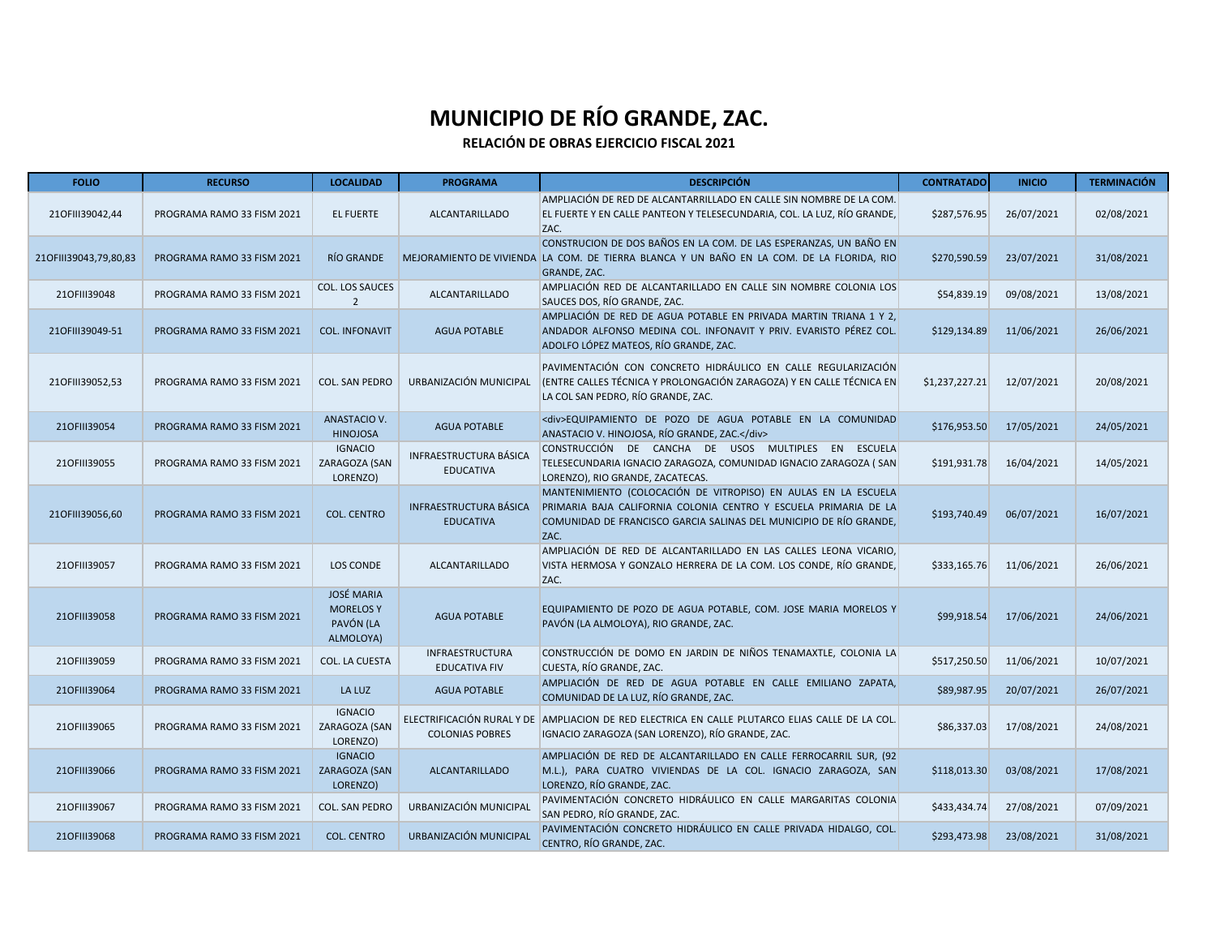| <b>FOLIO</b>          | <b>RECURSO</b>             | <b>LOCALIDAD</b>                                                | <b>PROGRAMA</b>                                      | <b>DESCRIPCIÓN</b>                                                                                                                                                                                               | <b>CONTRATADO</b> | <b>INICIO</b> | <b>TERMINACIÓN</b> |
|-----------------------|----------------------------|-----------------------------------------------------------------|------------------------------------------------------|------------------------------------------------------------------------------------------------------------------------------------------------------------------------------------------------------------------|-------------------|---------------|--------------------|
| 210FIII39042,44       | PROGRAMA RAMO 33 FISM 2021 | <b>EL FUERTE</b>                                                | <b>ALCANTARILLADO</b>                                | AMPLIACIÓN DE RED DE ALCANTARRILLADO EN CALLE SIN NOMBRE DE LA COM.<br>EL FUERTE Y EN CALLE PANTEON Y TELESECUNDARIA, COL. LA LUZ, RÍO GRANDE,<br>ZAC.                                                           | \$287,576.95      | 26/07/2021    | 02/08/2021         |
| 210FIII39043,79,80,83 | PROGRAMA RAMO 33 FISM 2021 | RÍO GRANDE                                                      |                                                      | CONSTRUCION DE DOS BAÑOS EN LA COM. DE LAS ESPERANZAS, UN BAÑO EN<br>MEJORAMIENTO DE VIVIENDA LA COM. DE TIERRA BLANCA Y UN BAÑO EN LA COM. DE LA FLORIDA, RIO<br><b>GRANDE, ZAC.</b>                            | \$270,590.59      | 23/07/2021    | 31/08/2021         |
| 210FIII39048          | PROGRAMA RAMO 33 FISM 2021 | COL. LOS SAUCES<br>$\overline{2}$                               | <b>ALCANTARILLADO</b>                                | AMPLIACIÓN RED DE ALCANTARILLADO EN CALLE SIN NOMBRE COLONIA LOS<br>SAUCES DOS, RÍO GRANDE, ZAC.                                                                                                                 | \$54,839.19       | 09/08/2021    | 13/08/2021         |
| 210FIII39049-51       | PROGRAMA RAMO 33 FISM 2021 | <b>COL. INFONAVIT</b>                                           | <b>AGUA POTABLE</b>                                  | AMPLIACIÓN DE RED DE AGUA POTABLE EN PRIVADA MARTIN TRIANA 1 Y 2,<br>ANDADOR ALFONSO MEDINA COL. INFONAVIT Y PRIV. EVARISTO PÉREZ COL.<br>ADOLFO LÓPEZ MATEOS, RÍO GRANDE, ZAC.                                  | \$129,134.89      | 11/06/2021    | 26/06/2021         |
| 210FIII39052,53       | PROGRAMA RAMO 33 FISM 2021 | <b>COL. SAN PEDRO</b>                                           | URBANIZACIÓN MUNICIPAL                               | PAVIMENTACIÓN CON CONCRETO HIDRÁULICO EN CALLE REGULARIZACIÓN<br>(ENTRE CALLES TÉCNICA Y PROLONGACIÓN ZARAGOZA) Y EN CALLE TÉCNICA EN<br>LA COL SAN PEDRO, RÍO GRANDE, ZAC.                                      | \$1,237,227.21    | 12/07/2021    | 20/08/2021         |
| 210FIII39054          | PROGRAMA RAMO 33 FISM 2021 | ANASTACIO V.<br><b>HINOJOSA</b>                                 | <b>AGUA POTABLE</b>                                  | <div>EQUIPAMIENTO DE POZO DE AGUA POTABLE EN LA COMUNIDAD<br/>ANASTACIO V. HINOJOSA, RÍO GRANDE, ZAC.</div>                                                                                                      | \$176,953.50      | 17/05/2021    | 24/05/2021         |
| 210FIII39055          | PROGRAMA RAMO 33 FISM 2021 | <b>IGNACIO</b><br>ZARAGOZA (SAN<br>LORENZO)                     | INFRAESTRUCTURA BÁSICA<br><b>EDUCATIVA</b>           | CONSTRUCCIÓN DE CANCHA DE USOS MULTIPLES EN ESCUELA<br>TELESECUNDARIA IGNACIO ZARAGOZA, COMUNIDAD IGNACIO ZARAGOZA (SAN<br>LORENZO), RIO GRANDE, ZACATECAS.                                                      | \$191,931.78      | 16/04/2021    | 14/05/2021         |
| 210FIII39056,60       | PROGRAMA RAMO 33 FISM 2021 | <b>COL. CENTRO</b>                                              | INFRAESTRUCTURA BÁSICA<br><b>EDUCATIVA</b>           | MANTENIMIENTO (COLOCACIÓN DE VITROPISO) EN AULAS EN LA ESCUELA<br>PRIMARIA BAJA CALIFORNIA COLONIA CENTRO Y ESCUELA PRIMARIA DE LA<br>COMUNIDAD DE FRANCISCO GARCIA SALINAS DEL MUNICIPIO DE RÍO GRANDE,<br>ZAC. | \$193,740.49      | 06/07/2021    | 16/07/2021         |
| 210FIII39057          | PROGRAMA RAMO 33 FISM 2021 | <b>LOS CONDE</b>                                                | <b>ALCANTARILLADO</b>                                | AMPLIACIÓN DE RED DE ALCANTARILLADO EN LAS CALLES LEONA VICARIO,<br>VISTA HERMOSA Y GONZALO HERRERA DE LA COM. LOS CONDE, RÍO GRANDE,<br>ZAC.                                                                    | \$333,165.76      | 11/06/2021    | 26/06/2021         |
| 210FIII39058          | PROGRAMA RAMO 33 FISM 2021 | <b>JOSÉ MARIA</b><br><b>MORELOS Y</b><br>PAVÓN (LA<br>ALMOLOYA) | <b>AGUA POTABLE</b>                                  | EQUIPAMIENTO DE POZO DE AGUA POTABLE, COM. JOSE MARIA MORELOS Y<br>PAVÓN (LA ALMOLOYA), RIO GRANDE, ZAC.                                                                                                         | \$99,918.54       | 17/06/2021    | 24/06/2021         |
| 210FIII39059          | PROGRAMA RAMO 33 FISM 2021 | COL. LA CUESTA                                                  | <b>INFRAESTRUCTURA</b><br><b>EDUCATIVA FIV</b>       | CONSTRUCCIÓN DE DOMO EN JARDIN DE NIÑOS TENAMAXTLE, COLONIA LA<br>CUESTA. RÍO GRANDE. ZAC.                                                                                                                       | \$517,250.50      | 11/06/2021    | 10/07/2021         |
| 210FIII39064          | PROGRAMA RAMO 33 FISM 2021 | LA LUZ                                                          | <b>AGUA POTABLE</b>                                  | AMPLIACIÓN DE RED DE AGUA POTABLE EN CALLE EMILIANO ZAPATA,<br>COMUNIDAD DE LA LUZ, RÍO GRANDE, ZAC.                                                                                                             | \$89,987.95       | 20/07/2021    | 26/07/2021         |
| 210FIII39065          | PROGRAMA RAMO 33 FISM 2021 | <b>IGNACIO</b><br>ZARAGOZA (SAN<br>LORENZO)                     | ELECTRIFICACIÓN RURAL Y DE<br><b>COLONIAS POBRES</b> | AMPLIACION DE RED ELECTRICA EN CALLE PLUTARCO ELIAS CALLE DE LA COL.<br>IGNACIO ZARAGOZA (SAN LORENZO), RÍO GRANDE, ZAC.                                                                                         | \$86,337.03       | 17/08/2021    | 24/08/2021         |
| 210FIII39066          | PROGRAMA RAMO 33 FISM 2021 | <b>IGNACIO</b><br>ZARAGOZA (SAN<br>LORENZO)                     | <b>ALCANTARILLADO</b>                                | AMPLIACIÓN DE RED DE ALCANTARILLADO EN CALLE FERROCARRIL SUR, (92<br>M.L.), PARA CUATRO VIVIENDAS DE LA COL. IGNACIO ZARAGOZA, SAN<br>LORENZO, RÍO GRANDE, ZAC.                                                  | \$118,013.30      | 03/08/2021    | 17/08/2021         |
| 210FIII39067          | PROGRAMA RAMO 33 FISM 2021 | <b>COL. SAN PEDRO</b>                                           | URBANIZACIÓN MUNICIPAL                               | PAVIMENTACIÓN CONCRETO HIDRÁULICO EN CALLE MARGARITAS COLONIA<br>SAN PEDRO, RÍO GRANDE, ZAC.                                                                                                                     | \$433,434.74      | 27/08/2021    | 07/09/2021         |
| 210FIII39068          | PROGRAMA RAMO 33 FISM 2021 | <b>COL. CENTRO</b>                                              | URBANIZACIÓN MUNICIPAL                               | PAVIMENTACIÓN CONCRETO HIDRÁULICO EN CALLE PRIVADA HIDALGO, COL.<br>CENTRO, RÍO GRANDE, ZAC.                                                                                                                     | \$293,473.98      | 23/08/2021    | 31/08/2021         |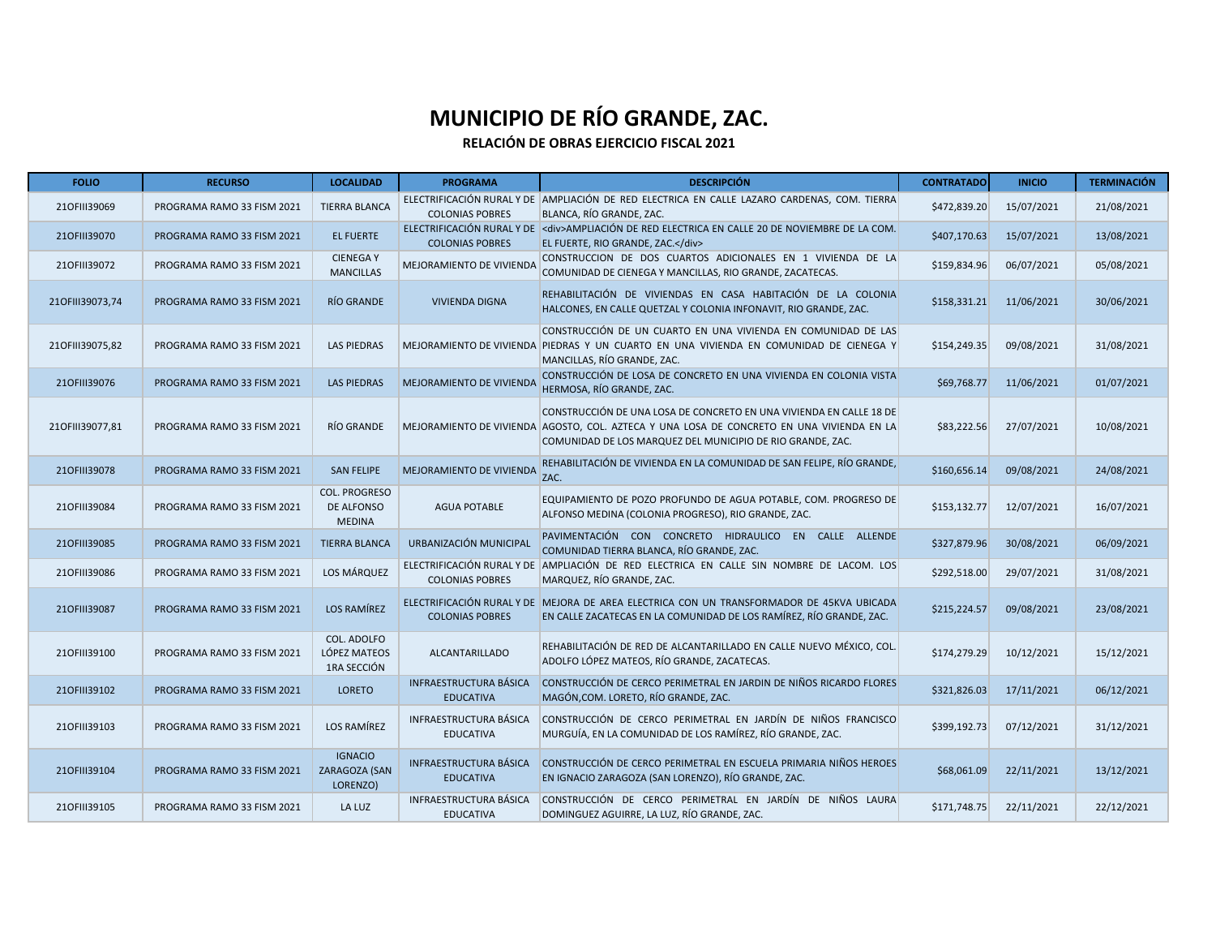| <b>FOLIO</b>    | <b>RECURSO</b>             | <b>LOCALIDAD</b>                                    | <b>PROGRAMA</b>                                   | <b>DESCRIPCIÓN</b>                                                                                                                                                                                                             | <b>CONTRATADO</b> | <b>INICIO</b> | <b>TERMINACIÓN</b> |
|-----------------|----------------------------|-----------------------------------------------------|---------------------------------------------------|--------------------------------------------------------------------------------------------------------------------------------------------------------------------------------------------------------------------------------|-------------------|---------------|--------------------|
| 210FIII39069    | PROGRAMA RAMO 33 FISM 2021 | <b>TIERRA BLANCA</b>                                | <b>COLONIAS POBRES</b>                            | ELECTRIFICACIÓN RURAL Y DE AMPLIACIÓN DE RED ELECTRICA EN CALLE LAZARO CARDENAS, COM. TIERRA<br>BLANCA, RÍO GRANDE, ZAC.                                                                                                       | \$472,839.20      | 15/07/2021    | 21/08/2021         |
| 210FIII39070    | PROGRAMA RAMO 33 FISM 2021 | <b>EL FUERTE</b>                                    | <b>COLONIAS POBRES</b>                            | ELECTRIFICACIÓN RURAL Y DE <div>AMPLIACIÓN DE RED ELECTRICA EN CALLE 20 DE NOVIEMBRE DE LA COM.<br/>EL FUERTE, RIO GRANDE, ZAC.</div>                                                                                          | \$407,170.63      | 15/07/2021    | 13/08/2021         |
| 210FIII39072    | PROGRAMA RAMO 33 FISM 2021 | <b>CIENEGAY</b><br><b>MANCILLAS</b>                 | MEJORAMIENTO DE VIVIENDA                          | CONSTRUCCION DE DOS CUARTOS ADICIONALES EN 1 VIVIENDA DE LA<br>COMUNIDAD DE CIENEGA Y MANCILLAS, RIO GRANDE, ZACATECAS.                                                                                                        | \$159,834.96      | 06/07/2021    | 05/08/2021         |
| 210FIII39073,74 | PROGRAMA RAMO 33 FISM 2021 | RÍO GRANDE                                          | <b>VIVIENDA DIGNA</b>                             | REHABILITACIÓN DE VIVIENDAS EN CASA HABITACIÓN DE LA COLONIA<br>HALCONES, EN CALLE QUETZAL Y COLONIA INFONAVIT, RIO GRANDE, ZAC.                                                                                               | \$158,331.21      | 11/06/2021    | 30/06/2021         |
| 210FIII39075,82 | PROGRAMA RAMO 33 FISM 2021 | <b>LAS PIEDRAS</b>                                  | MEJORAMIENTO DE VIVIENDA                          | CONSTRUCCIÓN DE UN CUARTO EN UNA VIVIENDA EN COMUNIDAD DE LAS<br>PIEDRAS Y UN CUARTO EN UNA VIVIENDA EN COMUNIDAD DE CIENEGA Y<br>MANCILLAS, RÍO GRANDE, ZAC.                                                                  | \$154,249.35      | 09/08/2021    | 31/08/2021         |
| 210FIII39076    | PROGRAMA RAMO 33 FISM 2021 | <b>LAS PIEDRAS</b>                                  | MEJORAMIENTO DE VIVIENDA                          | CONSTRUCCIÓN DE LOSA DE CONCRETO EN UNA VIVIENDA EN COLONIA VISTA<br>HERMOSA, RÍO GRANDE, ZAC.                                                                                                                                 | \$69,768.77       | 11/06/2021    | 01/07/2021         |
| 210FIII39077,81 | PROGRAMA RAMO 33 FISM 2021 | RÍO GRANDE                                          |                                                   | CONSTRUCCIÓN DE UNA LOSA DE CONCRETO EN UNA VIVIENDA EN CALLE 18 DE<br>MEJORAMIENTO DE VIVIENDA AGOSTO, COL. AZTECA Y UNA LOSA DE CONCRETO EN UNA VIVIENDA EN LA<br>COMUNIDAD DE LOS MARQUEZ DEL MUNICIPIO DE RIO GRANDE, ZAC. | \$83,222.56       | 27/07/2021    | 10/08/2021         |
| 210FIII39078    | PROGRAMA RAMO 33 FISM 2021 | <b>SAN FELIPE</b>                                   | MEJORAMIENTO DE VIVIENDA                          | REHABILITACIÓN DE VIVIENDA EN LA COMUNIDAD DE SAN FELIPE, RÍO GRANDE,<br>ZAC.                                                                                                                                                  | \$160,656.14      | 09/08/2021    | 24/08/2021         |
| 210FIII39084    | PROGRAMA RAMO 33 FISM 2021 | <b>COL. PROGRESO</b><br>DE ALFONSO<br><b>MEDINA</b> | <b>AGUA POTABLE</b>                               | EQUIPAMIENTO DE POZO PROFUNDO DE AGUA POTABLE, COM. PROGRESO DE<br>ALFONSO MEDINA (COLONIA PROGRESO), RIO GRANDE, ZAC.                                                                                                         | \$153,132.77      | 12/07/2021    | 16/07/2021         |
| 210FIII39085    | PROGRAMA RAMO 33 FISM 2021 | <b>TIERRA BLANCA</b>                                | URBANIZACIÓN MUNICIPAL                            | PAVIMENTACIÓN CON CONCRETO HIDRAULICO EN CALLE ALLENDE<br>COMUNIDAD TIERRA BLANCA, RÍO GRANDE, ZAC.                                                                                                                            | \$327,879.96      | 30/08/2021    | 06/09/2021         |
| 210FIII39086    | PROGRAMA RAMO 33 FISM 2021 | LOS MÁRQUEZ                                         | <b>COLONIAS POBRES</b>                            | ELECTRIFICACIÓN RURAL Y DE AMPLIACIÓN DE RED ELECTRICA EN CALLE SIN NOMBRE DE LACOM. LOS<br>MARQUEZ, RÍO GRANDE, ZAC.                                                                                                          | \$292,518.00      | 29/07/2021    | 31/08/2021         |
| 210FIII39087    | PROGRAMA RAMO 33 FISM 2021 | LOS RAMÍREZ                                         | <b>COLONIAS POBRES</b>                            | ELECTRIFICACIÓN RURAL Y DE MEJORA DE AREA ELECTRICA CON UN TRANSFORMADOR DE 45KVA UBICADA<br>EN CALLE ZACATECAS EN LA COMUNIDAD DE LOS RAMÍREZ, RÍO GRANDE, ZAC.                                                               | \$215,224.57      | 09/08/2021    | 23/08/2021         |
| 210FIII39100    | PROGRAMA RAMO 33 FISM 2021 | COL. ADOLFO<br>LÓPEZ MATEOS<br>1RA SECCIÓN          | <b>ALCANTARILLADO</b>                             | REHABILITACIÓN DE RED DE ALCANTARILLADO EN CALLE NUEVO MÉXICO, COL.<br>ADOLFO LÓPEZ MATEOS, RÍO GRANDE, ZACATECAS.                                                                                                             | \$174,279.29      | 10/12/2021    | 15/12/2021         |
| 210FIII39102    | PROGRAMA RAMO 33 FISM 2021 | <b>LORETO</b>                                       | INFRAESTRUCTURA BÁSICA<br><b>EDUCATIVA</b>        | CONSTRUCCIÓN DE CERCO PERIMETRAL EN JARDIN DE NIÑOS RICARDO FLORES<br>MAGÓN, COM. LORETO, RÍO GRANDE, ZAC.                                                                                                                     | \$321,826.03      | 17/11/2021    | 06/12/2021         |
| 210FIII39103    | PROGRAMA RAMO 33 FISM 2021 | LOS RAMÍREZ                                         | INFRAESTRUCTURA BÁSICA<br><b>EDUCATIVA</b>        | CONSTRUCCIÓN DE CERCO PERIMETRAL EN JARDÍN DE NIÑOS FRANCISCO<br>MURGUÍA, EN LA COMUNIDAD DE LOS RAMÍREZ, RÍO GRANDE, ZAC.                                                                                                     | \$399,192.73      | 07/12/2021    | 31/12/2021         |
| 210FIII39104    | PROGRAMA RAMO 33 FISM 2021 | <b>IGNACIO</b><br>ZARAGOZA (SAN<br>LORENZO)         | INFRAESTRUCTURA BÁSICA<br><b>EDUCATIVA</b>        | CONSTRUCCIÓN DE CERCO PERIMETRAL EN ESCUELA PRIMARIA NIÑOS HEROES<br>EN IGNACIO ZARAGOZA (SAN LORENZO), RÍO GRANDE, ZAC.                                                                                                       | \$68,061.09       | 22/11/2021    | 13/12/2021         |
| 210FIII39105    | PROGRAMA RAMO 33 FISM 2021 | LA LUZ                                              | <b>INFRAESTRUCTURA BÁSICA</b><br><b>EDUCATIVA</b> | CONSTRUCCIÓN DE CERCO PERIMETRAL EN JARDÍN DE NIÑOS LAURA<br>DOMINGUEZ AGUIRRE, LA LUZ, RÍO GRANDE, ZAC.                                                                                                                       | \$171,748.75      | 22/11/2021    | 22/12/2021         |